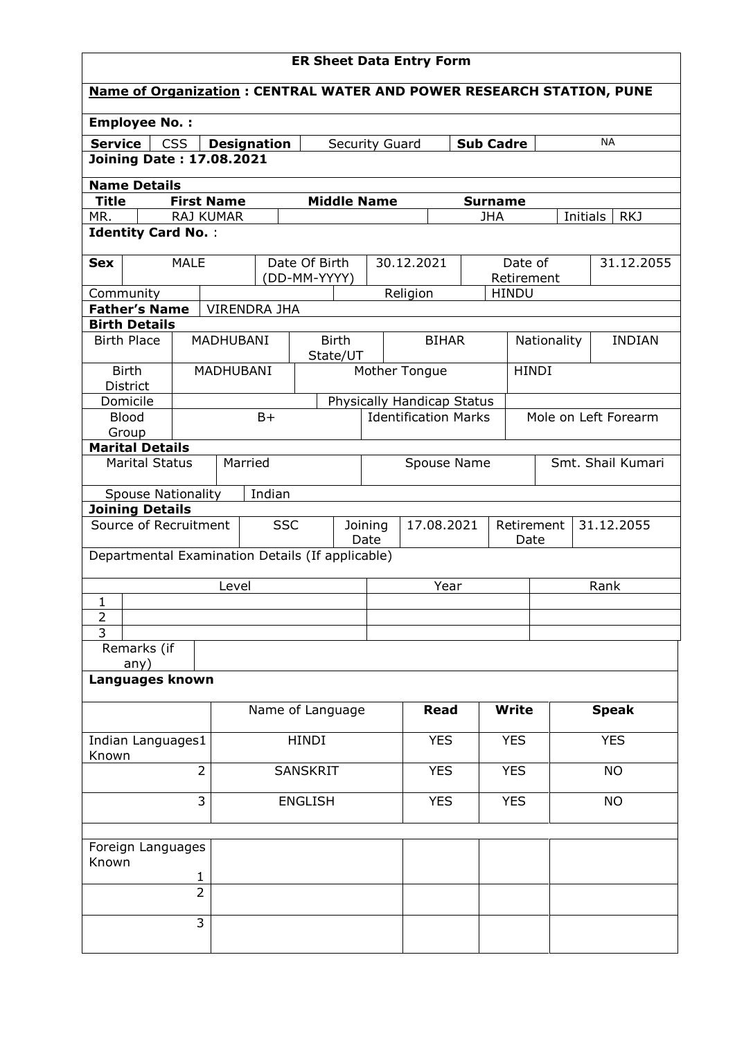| <b>ER Sheet Data Entry Form</b>                                                                          |                                 |                |                     |                 |                                                  |                          |                       |                             |     |                       |             |           |                      |
|----------------------------------------------------------------------------------------------------------|---------------------------------|----------------|---------------------|-----------------|--------------------------------------------------|--------------------------|-----------------------|-----------------------------|-----|-----------------------|-------------|-----------|----------------------|
| <b>Name of Organization: CENTRAL WATER AND POWER RESEARCH STATION, PUNE</b>                              |                                 |                |                     |                 |                                                  |                          |                       |                             |     |                       |             |           |                      |
| <b>Employee No.:</b>                                                                                     |                                 |                |                     |                 |                                                  |                          |                       |                             |     |                       |             |           |                      |
| <b>Service</b>                                                                                           |                                 | <b>CSS</b>     | <b>Designation</b>  |                 |                                                  |                          | <b>Security Guard</b> |                             |     | <b>Sub Cadre</b>      |             |           | NA                   |
|                                                                                                          | <b>Joining Date: 17.08.2021</b> |                |                     |                 |                                                  |                          |                       |                             |     |                       |             |           |                      |
| <b>Name Details</b>                                                                                      |                                 |                |                     |                 |                                                  |                          |                       |                             |     |                       |             |           |                      |
| <b>Title</b>                                                                                             |                                 |                | <b>First Name</b>   |                 |                                                  |                          | <b>Middle Name</b>    |                             |     | <b>Surname</b>        |             |           |                      |
| RAJ KUMAR<br>MR.<br><b>JHA</b><br>Initials                                                               |                                 |                |                     |                 |                                                  |                          |                       |                             | RKJ |                       |             |           |                      |
| <b>Identity Card No.:</b>                                                                                |                                 |                |                     |                 |                                                  |                          |                       |                             |     |                       |             |           |                      |
| <b>Sex</b>                                                                                               |                                 | <b>MALE</b>    |                     |                 | Date Of Birth<br>(DD-MM-YYYY)                    |                          |                       | 30.12.2021                  |     | Date of<br>Retirement |             |           | 31.12.2055           |
| Community                                                                                                |                                 |                |                     |                 |                                                  |                          |                       | Religion                    |     | <b>HINDU</b>          |             |           |                      |
|                                                                                                          | <b>Father's Name</b>            |                | <b>VIRENDRA JHA</b> |                 |                                                  |                          |                       |                             |     |                       |             |           |                      |
|                                                                                                          | <b>Birth Details</b>            |                |                     |                 |                                                  |                          |                       |                             |     |                       |             |           |                      |
| <b>Birth Place</b>                                                                                       |                                 |                | <b>MADHUBANI</b>    |                 |                                                  | <b>Birth</b><br>State/UT |                       | <b>BIHAR</b>                |     |                       | Nationality |           | <b>INDIAN</b>        |
| District                                                                                                 | <b>Birth</b>                    |                | MADHUBANI           |                 |                                                  |                          |                       | Mother Tongue               |     | <b>HINDI</b>          |             |           |                      |
|                                                                                                          | Domicile                        |                |                     |                 |                                                  |                          |                       | Physically Handicap Status  |     |                       |             |           |                      |
| <b>Blood</b>                                                                                             |                                 |                |                     | $B+$            |                                                  |                          |                       | <b>Identification Marks</b> |     |                       |             |           | Mole on Left Forearm |
| Group                                                                                                    |                                 |                |                     |                 |                                                  |                          |                       |                             |     |                       |             |           |                      |
|                                                                                                          | <b>Marital Details</b>          |                |                     |                 |                                                  |                          |                       |                             |     |                       |             |           |                      |
| Married<br>Smt. Shail Kumari<br>Spouse Name<br><b>Marital Status</b>                                     |                                 |                |                     |                 |                                                  |                          |                       |                             |     |                       |             |           |                      |
|                                                                                                          | <b>Spouse Nationality</b>       |                |                     | Indian          |                                                  |                          |                       |                             |     |                       |             |           |                      |
|                                                                                                          | <b>Joining Details</b>          |                |                     |                 |                                                  |                          |                       |                             |     |                       |             |           |                      |
| Source of Recruitment<br><b>SSC</b><br>17.08.2021<br>Retirement<br>31.12.2055<br>Joining<br>Date<br>Date |                                 |                |                     |                 |                                                  |                          |                       |                             |     |                       |             |           |                      |
|                                                                                                          |                                 |                |                     |                 | Departmental Examination Details (If applicable) |                          |                       |                             |     |                       |             |           |                      |
|                                                                                                          |                                 |                | Level               |                 |                                                  |                          |                       | Year                        |     |                       | Rank        |           |                      |
| $\mathbf{1}$                                                                                             |                                 |                |                     |                 |                                                  |                          |                       |                             |     |                       |             |           |                      |
| $\overline{2}$                                                                                           |                                 |                |                     |                 |                                                  |                          |                       |                             |     |                       |             |           |                      |
| 3                                                                                                        |                                 |                |                     |                 |                                                  |                          |                       |                             |     |                       |             |           |                      |
|                                                                                                          | Remarks (if<br>any)             |                |                     |                 |                                                  |                          |                       |                             |     |                       |             |           |                      |
|                                                                                                          | Languages known                 |                |                     |                 |                                                  |                          |                       |                             |     |                       |             |           |                      |
|                                                                                                          |                                 |                |                     |                 | Name of Language                                 |                          |                       | <b>Read</b>                 |     | <b>Write</b>          |             |           | <b>Speak</b>         |
|                                                                                                          | Indian Languages1               |                |                     |                 | <b>HINDI</b>                                     |                          |                       | <b>YES</b>                  |     | <b>YES</b>            |             |           | <b>YES</b>           |
| Known<br>$\overline{2}$                                                                                  |                                 |                |                     | <b>SANSKRIT</b> |                                                  |                          |                       | <b>YES</b>                  |     | <b>YES</b>            |             | <b>NO</b> |                      |
|                                                                                                          |                                 |                |                     |                 |                                                  |                          |                       |                             |     |                       |             |           |                      |
| 3<br><b>YES</b><br><b>YES</b><br><b>ENGLISH</b><br><b>NO</b>                                             |                                 |                |                     |                 |                                                  |                          |                       |                             |     |                       |             |           |                      |
|                                                                                                          | Foreign Languages               |                |                     |                 |                                                  |                          |                       |                             |     |                       |             |           |                      |
| Known                                                                                                    |                                 |                |                     |                 |                                                  |                          |                       |                             |     |                       |             |           |                      |
|                                                                                                          |                                 | 1              |                     |                 |                                                  |                          |                       |                             |     |                       |             |           |                      |
|                                                                                                          |                                 | $\overline{2}$ |                     |                 |                                                  |                          |                       |                             |     |                       |             |           |                      |
|                                                                                                          |                                 | $\overline{3}$ |                     |                 |                                                  |                          |                       |                             |     |                       |             |           |                      |
|                                                                                                          |                                 |                |                     |                 |                                                  |                          |                       |                             |     |                       |             |           |                      |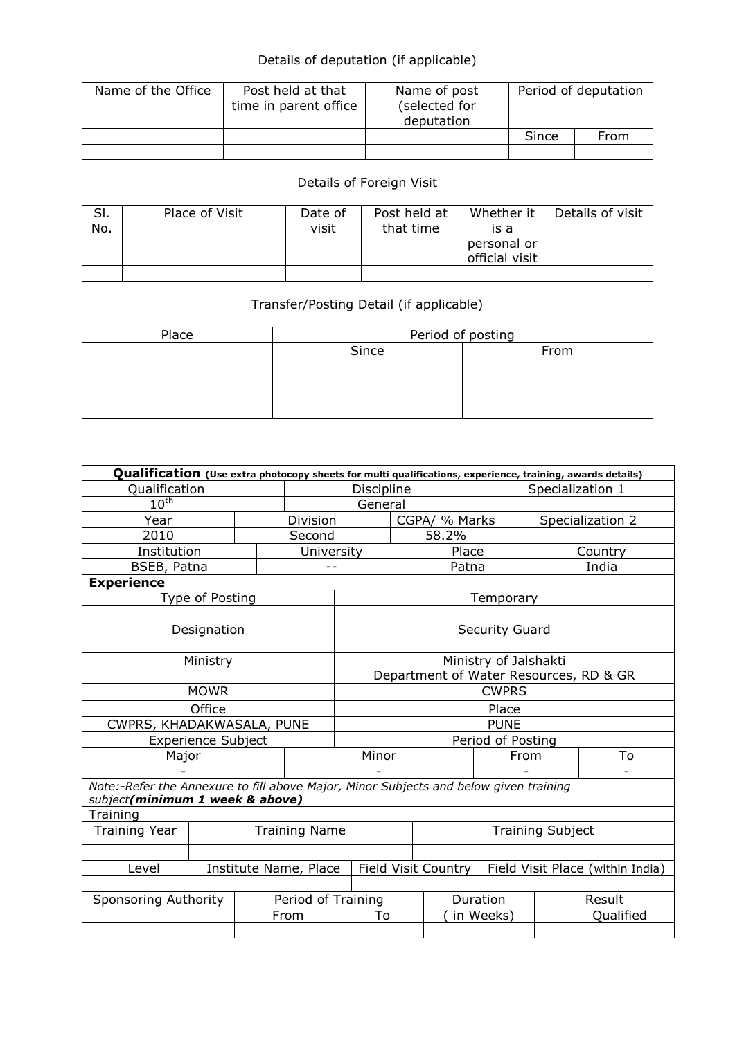## Details of deputation (if applicable)

| Name of the Office | Post held at that<br>time in parent office | Name of post<br>(selected for<br>deputation | Period of deputation |      |  |
|--------------------|--------------------------------------------|---------------------------------------------|----------------------|------|--|
|                    |                                            |                                             | Since                | From |  |
|                    |                                            |                                             |                      |      |  |

## Details of Foreign Visit

| SI.<br>No. | Place of Visit | Date of<br>visit | Post held at<br>that time | Whether it<br>is a<br>personal or<br>official visit | Details of visit |
|------------|----------------|------------------|---------------------------|-----------------------------------------------------|------------------|
|            |                |                  |                           |                                                     |                  |

## Transfer/Posting Detail (if applicable)

| Place | Period of posting |      |  |  |  |  |
|-------|-------------------|------|--|--|--|--|
|       | Since             | From |  |  |  |  |
|       |                   |      |  |  |  |  |
|       |                   |      |  |  |  |  |
|       |                   |      |  |  |  |  |
|       |                   |      |  |  |  |  |

| Qualification (Use extra photocopy sheets for multi qualifications, experience, training, awards details) |                           |                 |                    |                                        |               |                  |                                  |         |           |  |
|-----------------------------------------------------------------------------------------------------------|---------------------------|-----------------|--------------------|----------------------------------------|---------------|------------------|----------------------------------|---------|-----------|--|
| Qualification                                                                                             |                           | Discipline      |                    |                                        |               | Specialization 1 |                                  |         |           |  |
| $10^{\text{th}}$                                                                                          |                           |                 | General            |                                        |               |                  |                                  |         |           |  |
| Year                                                                                                      |                           | <b>Division</b> |                    |                                        | CGPA/ % Marks |                  | Specialization 2                 |         |           |  |
| 2010                                                                                                      |                           |                 |                    | Second                                 |               |                  |                                  |         |           |  |
| Institution                                                                                               |                           |                 | University         |                                        |               | Place            |                                  | Country |           |  |
| BSEB, Patna                                                                                               |                           |                 |                    |                                        |               | Patna            |                                  |         | India     |  |
| <b>Experience</b>                                                                                         |                           |                 |                    |                                        |               |                  |                                  |         |           |  |
|                                                                                                           | Type of Posting           |                 |                    |                                        |               |                  | Temporary                        |         |           |  |
|                                                                                                           |                           |                 |                    |                                        |               |                  |                                  |         |           |  |
|                                                                                                           | Designation               |                 |                    |                                        |               |                  | <b>Security Guard</b>            |         |           |  |
|                                                                                                           |                           |                 |                    |                                        |               |                  |                                  |         |           |  |
|                                                                                                           | Ministry                  |                 |                    | Ministry of Jalshakti                  |               |                  |                                  |         |           |  |
|                                                                                                           |                           |                 |                    | Department of Water Resources, RD & GR |               |                  |                                  |         |           |  |
| <b>MOWR</b>                                                                                               |                           |                 |                    | <b>CWPRS</b>                           |               |                  |                                  |         |           |  |
| Office                                                                                                    |                           |                 |                    | Place                                  |               |                  |                                  |         |           |  |
| CWPRS, KHADAKWASALA, PUNE                                                                                 |                           |                 |                    | <b>PUNE</b>                            |               |                  |                                  |         |           |  |
|                                                                                                           | <b>Experience Subject</b> |                 |                    |                                        |               |                  | Period of Posting                |         |           |  |
| Major                                                                                                     |                           |                 |                    | Minor                                  |               |                  | From                             |         | To        |  |
|                                                                                                           |                           |                 |                    |                                        |               |                  |                                  |         |           |  |
| Note:-Refer the Annexure to fill above Major, Minor Subjects and below given training                     |                           |                 |                    |                                        |               |                  |                                  |         |           |  |
| subject(minimum 1 week & above)                                                                           |                           |                 |                    |                                        |               |                  |                                  |         |           |  |
| Training                                                                                                  |                           |                 |                    |                                        |               |                  |                                  |         |           |  |
| <b>Training Year</b><br><b>Training Name</b>                                                              |                           |                 |                    | <b>Training Subject</b>                |               |                  |                                  |         |           |  |
|                                                                                                           |                           |                 |                    |                                        |               |                  |                                  |         |           |  |
| Institute Name, Place<br>Level                                                                            |                           |                 |                    | Field Visit Country                    |               |                  | Field Visit Place (within India) |         |           |  |
|                                                                                                           |                           |                 |                    |                                        |               |                  |                                  |         |           |  |
| Sponsoring Authority                                                                                      |                           |                 | Period of Training |                                        |               |                  | Duration                         |         | Result    |  |
|                                                                                                           |                           |                 | From               | To                                     |               | in Weeks)        |                                  |         | Qualified |  |
|                                                                                                           |                           |                 |                    |                                        |               |                  |                                  |         |           |  |